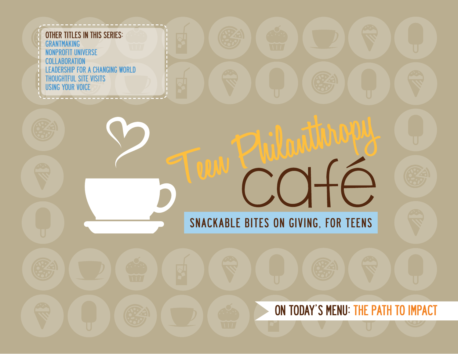

ON TODAY'S MENU: THE PATH TO IMPACT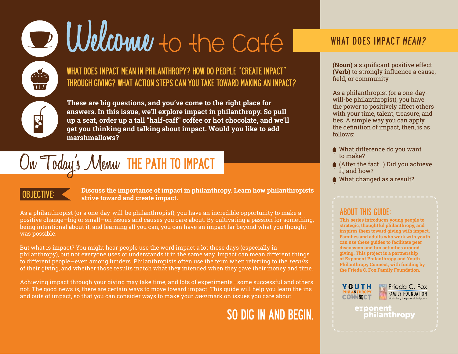# D Welcome to the Caté

WHAT DOES IMPACT MEAN IN PHILANTHROPY? HOW DO PEOPLE "CREATE IMPACT" THROUGH GIVING? WHAT ACTION STEPS CAN YOU TAKE TOWARD MAKING AN IMPACT?

**These are big questions, and you've come to the right place for answers. In this issue, we'll explore impact in philanthropy. So pull up a seat, order up a tall "half-caff" coffee or hot chocolate, and we'll get you thinking and talking about impact. Would you like to add marshmallows?** 

## $\textcolor{blue}{\text{Ow}}$  Today's Meuw THE PATH TO IMPACT

OBJECTIVE: **Discuss the importance of impact in philanthropy. Learn how philanthropists strive toward and create impact.** 

As a philanthropist (or a one-day-will-be philanthropist), you have an incredible opportunity to make a positive change—big or small—on issues and causes you care about. By cultivating a passion for something, being intentional about it, and learning all you can, you can have an impact far beyond what you thought was possible.

But what is impact? You might hear people use the word impact a lot these days (especially in philanthropy), but not everyone uses or understands it in the same way. Impact can mean different things to different people—even among funders. Philanthropists often use the term when referring to the *results* of their giving, and whether those results match what they intended when they gave their money and time.

Achieving impact through your giving may take time, and lots of experiments—some successful and others not. The good news is, there are certain ways to move toward impact. This guide will help you learn the ins and outs of impact, so that you can consider ways to make your  $own$  mark on issues you care about.

### SO DIG IN AND BEGIN.

### WHAT DOES IMPACT MEAN?

**(Noun)** a significant positive effect **(Verb)** to strongly influence a cause, field, or community

As a philanthropist (or a one-daywill-be philanthropist), you have the power to positively affect others with your time, talent, treasure, and ties. A simple way you can apply the definition of impact, then, is as follows:

- What difference do you want to make?
- (After the fact...) Did you achieve it, and how?
- What changed as a result?

### ABOUT THIS GUIDE:

**This series introduces young people to strategic, thoughtful philanthropy, and inspires them toward giving with impact. Families and adults who work with youth can use these guides to facilitate peer discussion and fun activities around giving. This project is a partnership of Exponent Philanthropy and Youth Philanthropy Connect, with funding by the Frieda C. Fox Family Foundation.**





exponent philanthropy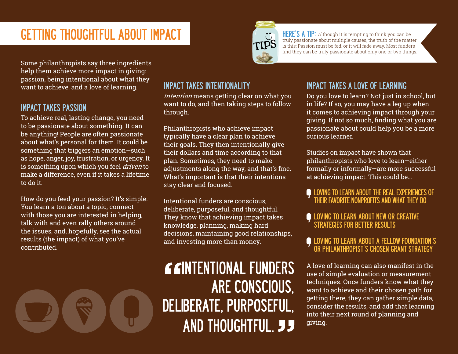### GETTING THOUGHTFUL ABOUT IMPACT<br>
TIPS THERE'S A TIP: Although it is tempting to think you can be truth of the matt

truly passionate about multiple causes, the truth of the matter is this: Passion must be fed, or it will fade away. Most funders find they can be truly passionate about only one or two things.

Some philanthropists say three ingredients help them achieve more impact in giving: passion, being intentional about what they want to achieve, and a love of learning.

### IMPACT TAKES PASSION

To achieve real, lasting change, you need to be passionate about something. It can be anything! People are often passionate about what's personal for them. It could be something that triggers an emotion—such as hope, anger, joy, frustration, or urgency. It is something upon which you feel *driven* to make a difference, even if it takes a lifetime to do it.

How do you feed your passion? It's simple: You learn a ton about a topic, connect with those you are interested in helping, talk with and even rally others around the issues, and, hopefully, see the actual results (the impact) of what you've contributed.

### IMPACT TAKES INTENTIONALITY

Intention means getting clear on what you want to do, and then taking steps to follow through.

Philanthropists who achieve impact typically have a clear plan to achieve their goals. They then intentionally give their dollars and time according to that plan. Sometimes, they need to make adjustments along the way, and that's fine. What's important is that their intentions stay clear and focused.

Intentional funders are conscious, deliberate, purposeful, and thoughtful. They know that achieving impact takes knowledge, planning, making hard decisions, maintaining good relationships, and investing more than money.

### GGINTENTIONAL FUNDERS ARE CONSCIOUS, DELIBERATE, PURPOSEFUL, AND THOUGHTFUL. JJ

### IMPACT TAKES A LOVE OF LEARNING

Do you love to learn? Not just in school, but in life? If so, you may have a leg up when it comes to achieving impact through your giving. If not so much, finding what you are passionate about could help you be a more curious learner.

Studies on impact have shown that philanthropists who love to learn—either formally or informally—are more successful at achieving impact. This could be…

#### LOVING TO LEARN ABOUT THE REAL EXPERIENCES OF THEIR FAVORITE NONPROFITS AND WHAT THEY DO

#### LOVING TO LEARN ABOUT NEW OR CREATIVE STRATEGIES FOR BETTER RESULTS

### LOVING TO LEARN ABOUT A FELLOW FOUNDATION'S OR PHILANTHROPIST'S CHOSEN GRANT STRATEGY

A love of learning can also manifest in the use of simple evaluation or measurement techniques. Once funders know what they want to achieve and their chosen path for getting there, they can gather simple data, consider the results, and add that learning into their next round of planning and giving.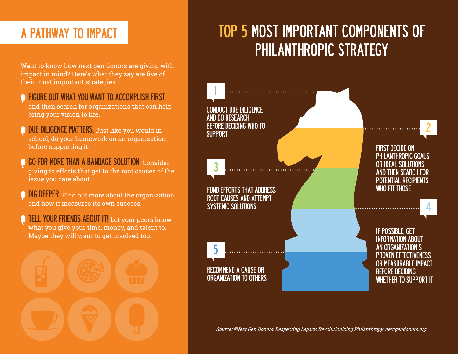### A PATHWAY TO IMPACT

Want to know how next gen donors are giving with impact in mind? Here's what they say are five of their most important strategies:

- FIGURE OUT WHAT YOU WANT TO ACCOMPLISH FIRST, and then search for organizations that can help bring your vision to life.
- DUE DILIGENCE MATTERS. Just like you would in school, do your homework on an organization before supporting it.
- GO FOR MORE THAN A BANDAGE SOLUTION. Consider giving to efforts that get to the root causes of the issue you care about.
- **DIG DEEPER.** Find out more about the organization and how it measures its own success.
- TELL YOUR FRIENDS ABOUT IT! Let your peers know what you give your time, money, and talent to. Maybe they will want to get involved too.



### TOP 5 MOST IMPORTANT COMPONENTS OF PHILANTHROPIC STRATEGY



Source: #Next Gen Donors: Respecting Legacy, Revolutionizing Philanthropy, [nextgendonors.org](www.nextgendonors.org)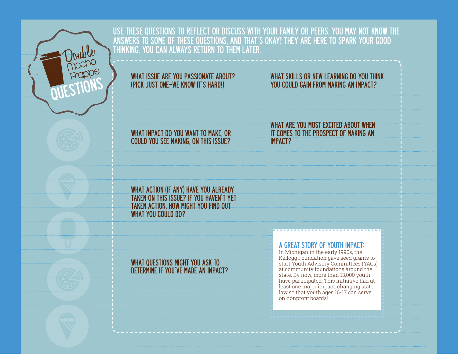

USE THESE QUESTIONS TO REFLECT OR DISCUSS WITH YOUR FAMILY OR PEERS. YOU MAY NOT KNOW THE ANSWERS TO SOME OF THESE QUESTIONS, AND THAT'S OKAY! THEY ARE HERE TO SPARK YOUR GOOD THINKING. YOU CAN ALWAYS RETURN TO THEM LATER.

#### WHAT ISSUE ARE YOU PASSIONATE ABOUT? (PICK JUST ONE—WE KNOW IT'S HARD!)

### WHAT SKILLS OR NEW LEARNING DO YOU THINK YOU COULD GAIN FROM MAKING AN IMPACT?

WHAT IMPACT DO YOU WANT TO MAKE, OR COULD YOU SEE MAKING, ON THIS ISSUE?

WHAT ARE YOU MOST EXCITED ABOUT WHEN IT COMES TO THE PROSPECT OF MAKING AN IMPACT?

WHAT ACTION (IF ANY) HAVE YOU ALREADY TAKEN ON THIS ISSUE? IF YOU HAVEN'T YET TAKEN ACTION, HOW MIGHT YOU FIND OUT WHAT YOU COULD DO?

### WHAT QUESTIONS MIGHT YOU ASK TO DETERMINE IF YOU'VE MADE AN IMPACT?

A GREAT STORY OF YOUTH IMPACT:

In Michigan in the early 1990s, the Kellogg Foundation gave seed grants to start Youth Advisory Committees (YACs) at community foundations around the state. By now, more than 13,000 youth have participated. This initiative had at least one major impact: changing state law so that youth ages 16-17 can serve on nonprofit boards!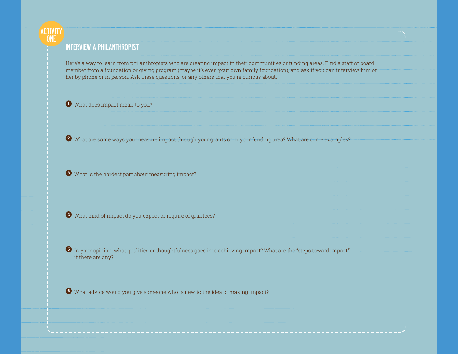### INTERVIEW A PHILANTHROPIST

**ACTIVITY ONE** 

> Here's a way to learn from philanthropists who are creating impact in their communities or funding areas. Find a staff or board member from a foundation or giving program (maybe it's even your own family foundation), and ask if you can interview him or her by phone or in person. Ask these questions, or any others that you're curious about.

**<sup>1</sup>** What does impact mean to you?

**<sup>2</sup>** What are some ways you measure impact through your grants or in your funding area? What are some examples?

**<sup>3</sup>** What is the hardest part about measuring impact?

**<sup>4</sup>** What kind of impact do you expect or require of grantees?

**<sup>5</sup>** In your opinion, what qualities or thoughtfulness goes into achieving impact? What are the "steps toward impact," if there are any?

**<sup>6</sup>** What advice would you give someone who is new to the idea of making impact?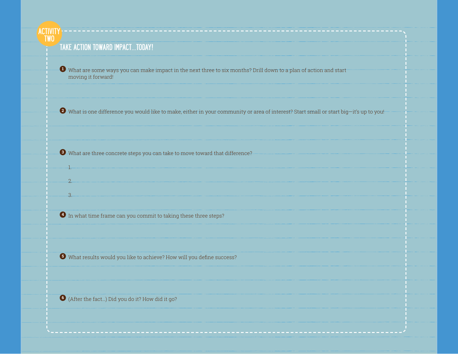#### **ACTIVITY** TWO

1.

2.

3.

### TAKE ACTION TOWARD IMPACT…TODAY!

**<sup>1</sup>** What are some ways you can make impact in the next three to six months? Drill down to a plan of action and start moving it forward!

**<sup>2</sup>** What is one difference you would like to make, either in your community or area of interest? Start small or start big—it's up to you!

**<sup>3</sup>** What are three concrete steps you can take to move toward that difference?

**<sup>4</sup>** In what time frame can you commit to taking these three steps?

**<sup>5</sup>** What results would you like to achieve? How will you define success?

**<sup>6</sup>** (After the fact…) Did you do it? How did it go?